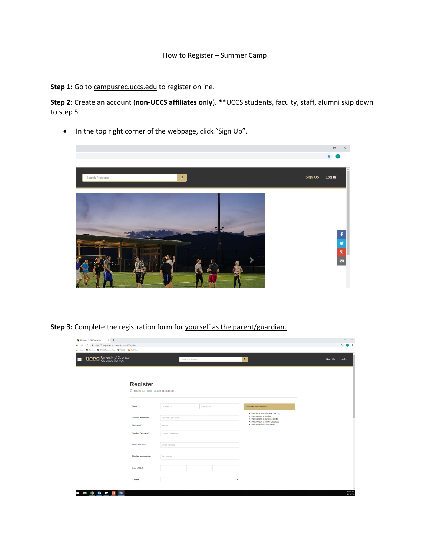## How to Register – Summer Camp

Step 1: Go to campusrec.uccs.edu to register online.

**Step 2:** Create an account (**non-UCCS affiliates only**). \*\*UCCS students, faculty, staff, alumni skip down to step 5.

• In the top right corner of the webpage, click "Sign Up".



**Step 3:** Complete the registration form for yourself as the parent/guardian.

| Register - UCCS Recreation X +                                                                |                   |           |                                                                                                                                              | $- 0 \times$                         |
|-----------------------------------------------------------------------------------------------|-------------------|-----------|----------------------------------------------------------------------------------------------------------------------------------------------|--------------------------------------|
| $\leftarrow$ $\rightarrow$ $\mathbf{C}$ $\bullet$ https://campusrec.uccs.edu/Account/Register |                   |           |                                                                                                                                              | $\dot{\mathbf{x}}$<br>$\mathbf{u}$ : |
| H Apps @ Fusion @ UCCS Campus Rec @ UCCS @ SubItUp                                            |                   |           |                                                                                                                                              |                                      |
| <b>UCCS</b> University of Colorado<br>⋿                                                       | Search Programs   |           | $\mathsf{Q}_\mathsf{c}$                                                                                                                      | Sign Up Log In                       |
| <b>Register</b><br>Create a new user account                                                  |                   |           |                                                                                                                                              |                                      |
|                                                                                               |                   |           |                                                                                                                                              |                                      |
| Name <sup>*</sup>                                                                             | First Name        | Last Name | Password Requirements                                                                                                                        |                                      |
| Desired Username"                                                                             | Desired User name |           | - Must be at least 8 characters long<br>- Must contain a number<br>- Must contain a lower case letter<br>. Must contain an upper case letter |                                      |
| Password*                                                                                     | Password          |           | - Must not contain username                                                                                                                  |                                      |
| Confirm Password*                                                                             | Confirm Password  |           |                                                                                                                                              |                                      |
| <b>Email Address*</b>                                                                         | Email Address     |           |                                                                                                                                              |                                      |
| <b>Member Information</b>                                                                     | <b>ID Number</b>  |           |                                                                                                                                              |                                      |
| Date of Birth                                                                                 | ٠                 | ٠         |                                                                                                                                              |                                      |
| Gender                                                                                        |                   | ٠         |                                                                                                                                              |                                      |
| 02 F B VB<br>ô<br>Ŧ<br><b>Contract</b>                                                        |                   |           |                                                                                                                                              | 11:59 AM<br>9/25/2018                |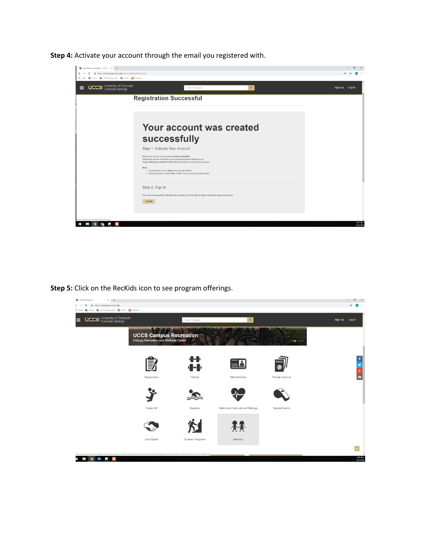**Step 4:** Activate your account through the email you registered with.

| Registration Successful - UCCS R x +                                                         |                                                                                                                                                         | $\sigma$       |
|----------------------------------------------------------------------------------------------|---------------------------------------------------------------------------------------------------------------------------------------------------------|----------------|
| iii https://campusrec.uccs.edu/Account/RegisterSuccess<br>$\leftarrow$<br>C<br>$\rightarrow$ |                                                                                                                                                         |                |
| Apps (b) Fusion (b) UCCS Campus Rec (b) UCCS (a) SubitUp                                     |                                                                                                                                                         |                |
| <b>DDS</b> University of Colorado                                                            | $\alpha$<br>Search Programs                                                                                                                             | Sign Up Log In |
|                                                                                              | <b>Registration Successful</b>                                                                                                                          |                |
|                                                                                              |                                                                                                                                                         |                |
|                                                                                              |                                                                                                                                                         |                |
|                                                                                              |                                                                                                                                                         |                |
|                                                                                              |                                                                                                                                                         |                |
|                                                                                              | Your account was created                                                                                                                                |                |
|                                                                                              |                                                                                                                                                         |                |
|                                                                                              | successfully                                                                                                                                            |                |
|                                                                                              | Step 1: Activate Your Account                                                                                                                           |                |
|                                                                                              | Before you can use your account it must be activated.                                                                                                   |                |
|                                                                                              | Instructions on how to activate your account have been emailed to you.<br>Please check your email and follow the instructions to activate your account. |                |
|                                                                                              | Note:                                                                                                                                                   |                |
|                                                                                              | . Email delivery can be delayed by several minutes<br>. Check your junk or spam folder or filter if you do not receive this email                       |                |
|                                                                                              |                                                                                                                                                         |                |
|                                                                                              | Step 2: Sign In                                                                                                                                         |                |
|                                                                                              |                                                                                                                                                         |                |
|                                                                                              | Once you've successfully activated your account you will be able to sign in and begin using your account.                                               |                |
|                                                                                              | <b>LOG IN</b>                                                                                                                                           |                |
|                                                                                              |                                                                                                                                                         |                |
|                                                                                              |                                                                                                                                                         |                |
| tes://campusrec.uccs.edu/Account/Login                                                       |                                                                                                                                                         | 9:07 AM        |
|                                                                                              |                                                                                                                                                         | 9/25/2018      |

**Step 5:** Click on the RecKids icon to see program offerings.

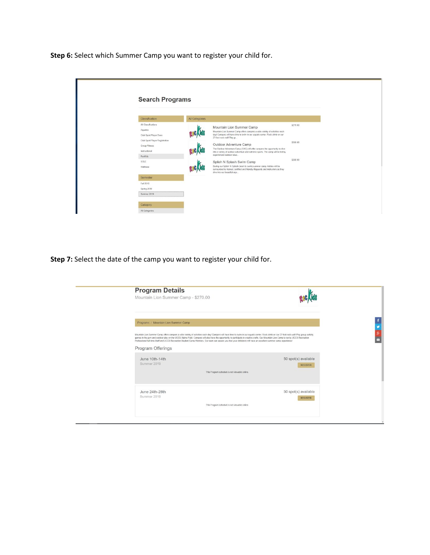**Step 6:** Select which Summer Camp you want to register your child for.

| Classification                                                              | All Categories |                                                                                                                                                                                                                         |          |
|-----------------------------------------------------------------------------|----------------|-------------------------------------------------------------------------------------------------------------------------------------------------------------------------------------------------------------------------|----------|
| All Classifications<br>Aquatics<br>Club Sport Player Dues                   |                | Mountain Lion Summer Camp<br>Mountain Lion Summer Camp offers campers a wide variety of activities each<br>day! Campers will have time to swim in our aquatic center. Rock climb on our<br>27-foot rock wall! Play gr   | \$270.00 |
| Club Sport Player Registration<br>Group Fitness<br>Instructional<br>Reckids |                | Outdoor Adventure Camp<br>The Outdoor Adventure Camp (OAC) will offer campers the opportunity to dive<br>into a variety of outdoor adventure and extreme sports. The camp will be led by<br>experienced outdoor educ    | \$300.00 |
| SOLE<br>Wellness                                                            |                | Splish N Splash Swim Camp<br>During our Splish 'N Splash (learn to swim) summer camp, kiddos will be<br>surrounded by trained, certified and friendly lifeguards and instructors as they<br>dive into our beautiful agu | \$300.00 |
| Semester                                                                    |                |                                                                                                                                                                                                                         |          |
| Fall 2018                                                                   |                |                                                                                                                                                                                                                         |          |
| Spring 2019                                                                 |                |                                                                                                                                                                                                                         |          |
| Summer 2019                                                                 |                |                                                                                                                                                                                                                         |          |

**Step 7:** Select the date of the camp you want to register your child for.

| <b>Program Details</b><br>Mountain Lion Summer Camp - \$270.00                                                                                                                                                                                                                                                                                                                                                                                                                                                                                                  |                                               |                      |
|-----------------------------------------------------------------------------------------------------------------------------------------------------------------------------------------------------------------------------------------------------------------------------------------------------------------------------------------------------------------------------------------------------------------------------------------------------------------------------------------------------------------------------------------------------------------|-----------------------------------------------|----------------------|
|                                                                                                                                                                                                                                                                                                                                                                                                                                                                                                                                                                 |                                               |                      |
| Programs / Mountain Lion Summer Camp                                                                                                                                                                                                                                                                                                                                                                                                                                                                                                                            |                                               |                      |
| Mountain Lion Summer Camp offers campers a wide variety of activities each day! Campers will have time to swim in our aquatic center. Rock climb on our 27-foot rock wall! Play group activity<br>games in the gym and outdoor play on the UCCS Alpine Field. Campers will also have the opportunity to participate in creative crafts. Our Mountain Lion Camp is run by UCCS Recreation<br>Professional full-time Staff and UCCS Recreation Student Camp Monitors. Our team can assure you that your child(ren) will have an excellent summer camp experience! |                                               |                      |
| Program Offerings                                                                                                                                                                                                                                                                                                                                                                                                                                                                                                                                               |                                               |                      |
| June 10th-14th                                                                                                                                                                                                                                                                                                                                                                                                                                                                                                                                                  |                                               | 50 spot(s) available |
| Summer 2019                                                                                                                                                                                                                                                                                                                                                                                                                                                                                                                                                     | This Program schedule is not viewable online. | <b>REGISTER</b>      |
|                                                                                                                                                                                                                                                                                                                                                                                                                                                                                                                                                                 |                                               |                      |
| June 24th-28th                                                                                                                                                                                                                                                                                                                                                                                                                                                                                                                                                  |                                               | 50 spot(s) available |
| Summer 2019                                                                                                                                                                                                                                                                                                                                                                                                                                                                                                                                                     | This Program schedule is not viewable online. | <b>REGISTER</b>      |
|                                                                                                                                                                                                                                                                                                                                                                                                                                                                                                                                                                 |                                               |                      |